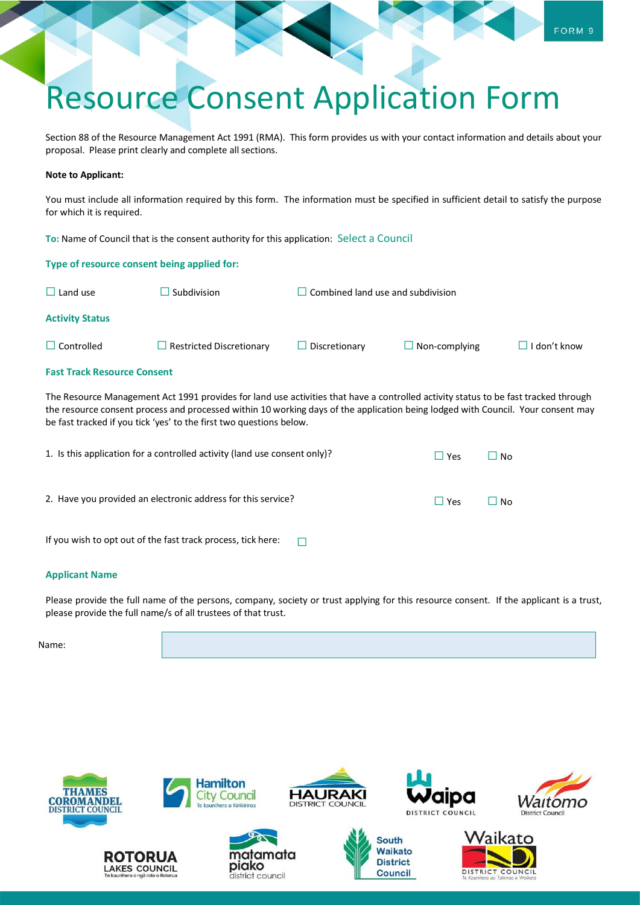# Resource Consent Application Form

Section 88 of the Resource Management Act 1991 (RMA). This form provides us with your contact information and details about your proposal. Please print clearly and complete all sections.

## **Note to Applicant:**

You must include all information required by this form. The information must be specified in sufficient detail to satisfy the purpose for which it is required.

**To:** Name of Council that is the consent authority for this application: Select a Council

# **Type of resource consent being applied for:**

| $\Box$ Land use                    | Subdivision                     | $\Box$ Combined land use and subdivision |                      |                     |  |
|------------------------------------|---------------------------------|------------------------------------------|----------------------|---------------------|--|
| <b>Activity Status</b>             |                                 |                                          |                      |                     |  |
| $\Box$ Controlled                  | $\Box$ Restricted Discretionary | Discretionary                            | $\Box$ Non-complying | $\Box$ I don't know |  |
| <b>Fast Track Resource Consent</b> |                                 |                                          |                      |                     |  |

The Resource Management Act 1991 provides for land use activities that have a controlled activity status to be fast tracked through the resource consent process and processed within 10 working days of the application being lodged with Council. Your consent may be fast tracked if you tick 'yes' to the first two questions below.

| 1. Is this application for a controlled activity (land use consent only)? | l Yes      | ⊥ No |
|---------------------------------------------------------------------------|------------|------|
| 2. Have you provided an electronic address for this service?              | $\Box$ Yes | ∐ No |
| If you wish to opt out of the fast track process, tick here:              |            |      |

## **Applicant Name**

Please provide the full name of the persons, company, society or trust applying for this resource consent. If the applicant is a trust, please provide the full name/s of all trustees of that trust.

Name:



district council

**Council**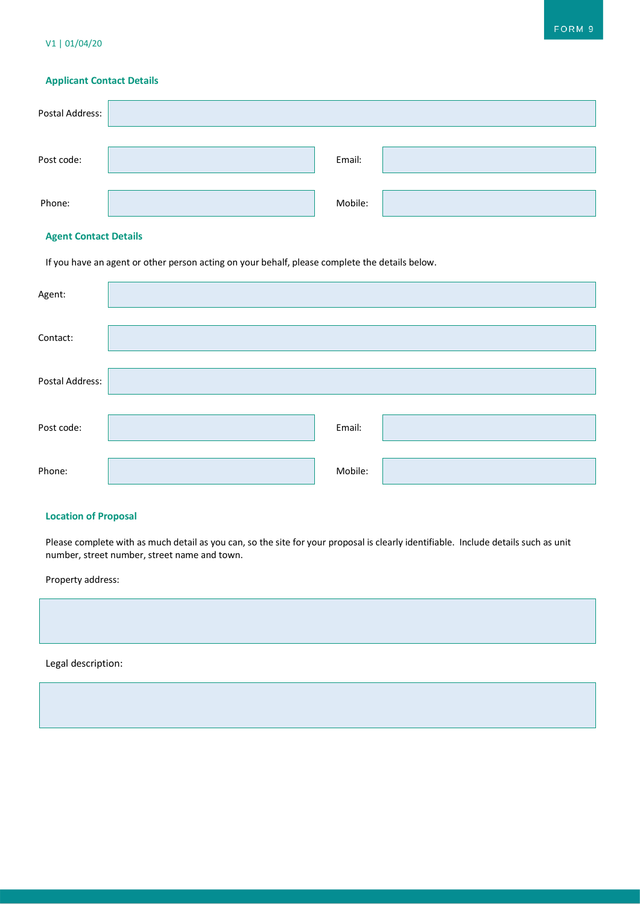# **Applicant Contact Details**

| Postal Address: |         |  |
|-----------------|---------|--|
| Post code:      | Email:  |  |
| Phone:          | Mobile: |  |

# **Agent Contact Details**

If you have an agent or other person acting on your behalf, please complete the details below.

| Agent:          |         |  |
|-----------------|---------|--|
| Contact:        |         |  |
| Postal Address: |         |  |
| Post code:      | Email:  |  |
| Phone:          | Mobile: |  |

# **Location of Proposal**

Please complete with as much detail as you can, so the site for your proposal is clearly identifiable. Include details such as unit number, street number, street name and town.

Property address:

Legal description: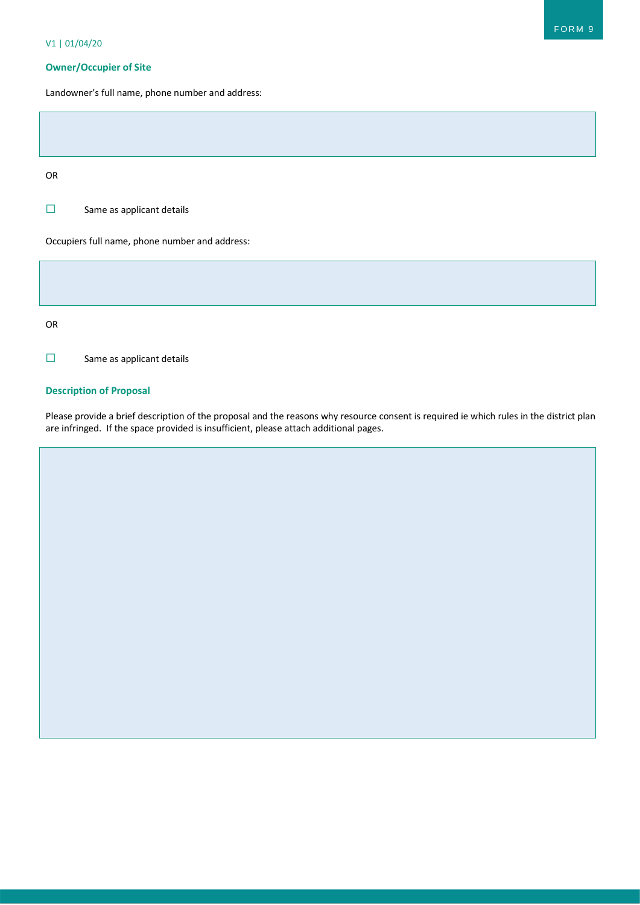# **Owner/Occupier of Site**

Landowner's full name, phone number and address:

OR

☐ Same as applicant details

Occupiers full name, phone number and address:

OR

☐ Same as applicant details

# **Description of Proposal**

Please provide a brief description of the proposal and the reasons why resource consent is required ie which rules in the district plan are infringed. If the space provided is insufficient, please attach additional pages.

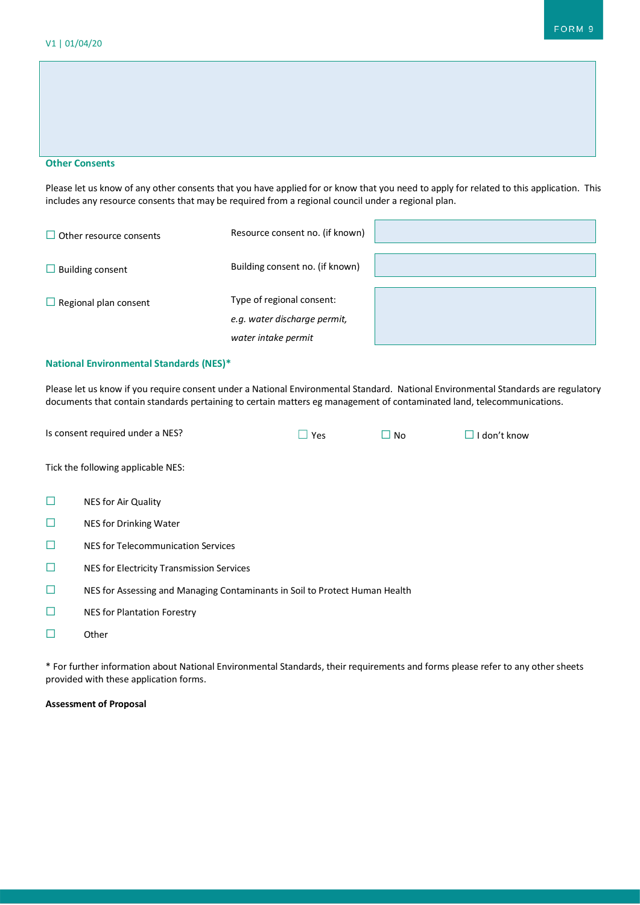## **Other Consents**

Please let us know of any other consents that you have applied for or know that you need to apply for related to this application. This includes any resource consents that may be required from a regional council under a regional plan.

| $\Box$ Other resource consents | Resource consent no. (if known)                           |  |
|--------------------------------|-----------------------------------------------------------|--|
| $\Box$ Building consent        | Building consent no. (if known)                           |  |
| $\Box$ Regional plan consent   | Type of regional consent:<br>e.g. water discharge permit, |  |
|                                | water intake permit                                       |  |

# **National Environmental Standards (NES)\***

Please let us know if you require consent under a National Environmental Standard. National Environmental Standards are regulatory documents that contain standards pertaining to certain matters eg management of contaminated land, telecommunications.

| Is consent required under a NES?   | $Y_{PS}$ | $\overline{\phantom{a}}$ No | $\Box$ I don't know |
|------------------------------------|----------|-----------------------------|---------------------|
| Tick the following applicable NES: |          |                             |                     |

- ☐ NES for Air Quality
- ☐ NES for Drinking Water
- ☐ NES for Telecommunication Services
- ☐ NES for Electricity Transmission Services
- ☐ NES for Assessing and Managing Contaminants in Soil to Protect Human Health
- ☐ NES for Plantation Forestry
- ☐ Other

\* For further information about National Environmental Standards, their requirements and forms please refer to any other sheets provided with these application forms.

# **Assessment of Proposal**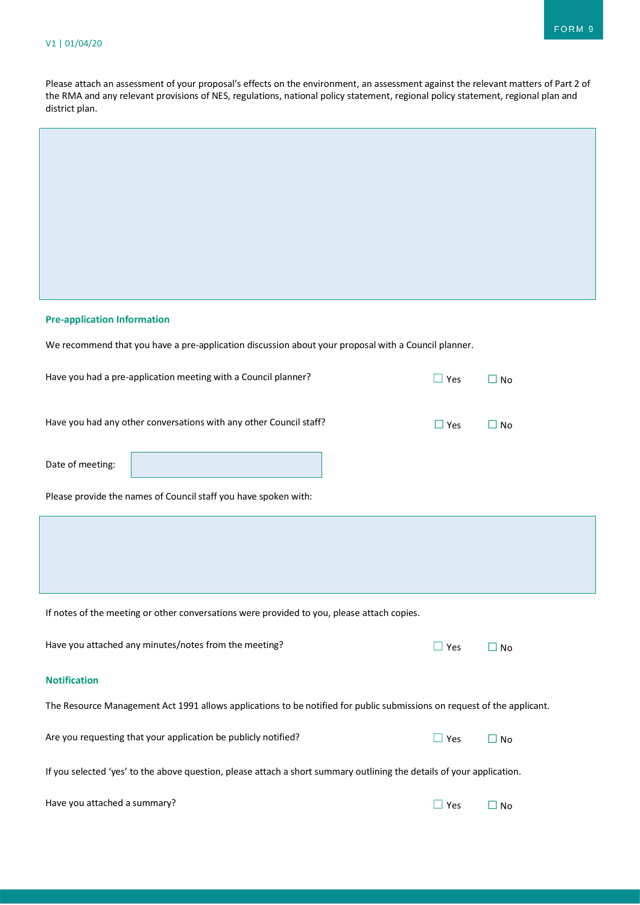# V1 | 01/04/20

Please attach an assessment of your proposal's effects on the environment, an assessment against the relevant matters of Part 2 of the RMA and any relevant provisions of NES, regulations, national policy statement, regional policy statement, regional plan and district plan.

# **Pre-application Information**

We recommend that you have a pre-application discussion about your proposal with a Council planner.

| Have you had a pre-application meeting with a Council planner?     | $\Box$ Yes | $\Box$ No |
|--------------------------------------------------------------------|------------|-----------|
| Have you had any other conversations with any other Council staff? | $\Box$ Yes | l I No    |

Date of meeting:

Please provide the names of Council staff you have spoken with:

| If notes of the meeting or other conversations were provided to you, please attach copies.                              |             |           |  |
|-------------------------------------------------------------------------------------------------------------------------|-------------|-----------|--|
| Have you attached any minutes/notes from the meeting?                                                                   | l Yes<br>m. | $\Box$ No |  |
| <b>Notification</b>                                                                                                     |             |           |  |
| The Resource Management Act 1991 allows applications to be notified for public submissions on request of the applicant. |             |           |  |

| Are you requesting that your application be publicly notified? | $\Box$ Yes $\Box$ No |  |
|----------------------------------------------------------------|----------------------|--|
|                                                                |                      |  |

If you selected 'yes' to the above question, please attach a short summary outlining the details of your application.

| Have you attached a summary? | l Yes | $\Box$ No |
|------------------------------|-------|-----------|
|------------------------------|-------|-----------|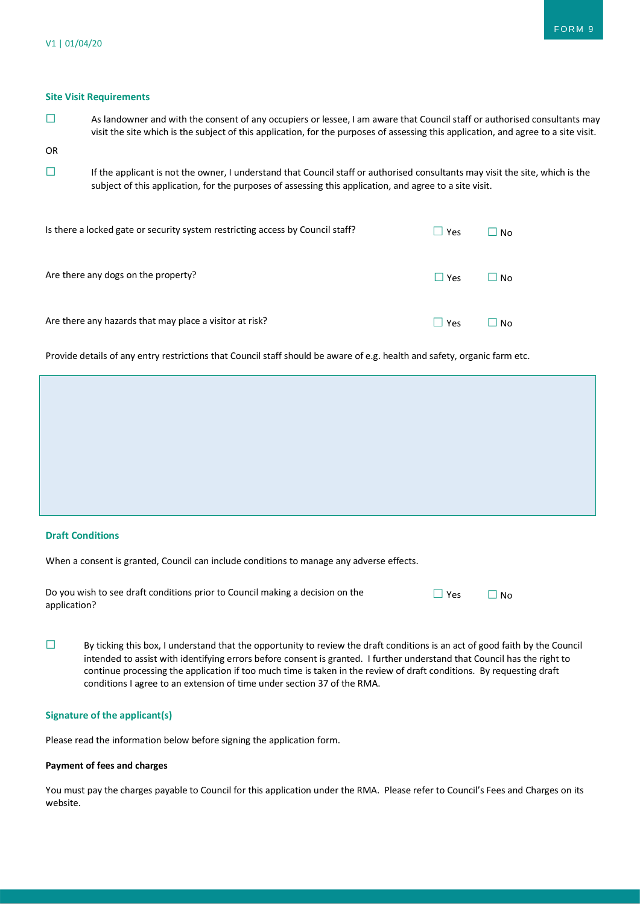#### **Site Visit Requirements**

☐ As landowner and with the consent of any occupiers or lessee, I am aware that Council staff or authorised consultants may visit the site which is the subject of this application, for the purposes of assessing this application, and agree to a site visit.

OR

 $\Box$  If the applicant is not the owner, I understand that Council staff or authorised consultants may visit the site, which is the subject of this application, for the purposes of assessing this application, and agree to a site visit.

| Is there a locked gate or security system restricting access by Council staff? | Yes      | No.            |
|--------------------------------------------------------------------------------|----------|----------------|
| Are there any dogs on the property?                                            | Yes<br>H | N <sub>o</sub> |
| Are there any hazards that may place a visitor at risk?                        | Yes      | No             |

Provide details of any entry restrictions that Council staff should be aware of e.g. health and safety, organic farm etc.

## **Draft Conditions**

When a consent is granted, Council can include conditions to manage any adverse effects.

| Do you wish to see draft conditions prior to Council making a decision on the | $\Box$ Yes | $\Box$ No |
|-------------------------------------------------------------------------------|------------|-----------|
| application?                                                                  |            |           |

 $□$  By ticking this box, I understand that the opportunity to review the draft conditions is an act of good faith by the Council intended to assist with identifying errors before consent is granted. I further understand that Council has the right to continue processing the application if too much time is taken in the review of draft conditions. By requesting draft conditions I agree to an extension of time under section 37 of the RMA.

# **Signature of the applicant(s)**

Please read the information below before signing the application form.

#### **Payment of fees and charges**

You must pay the charges payable to Council for this application under the RMA. Please refer to Council's Fees and Charges on its website.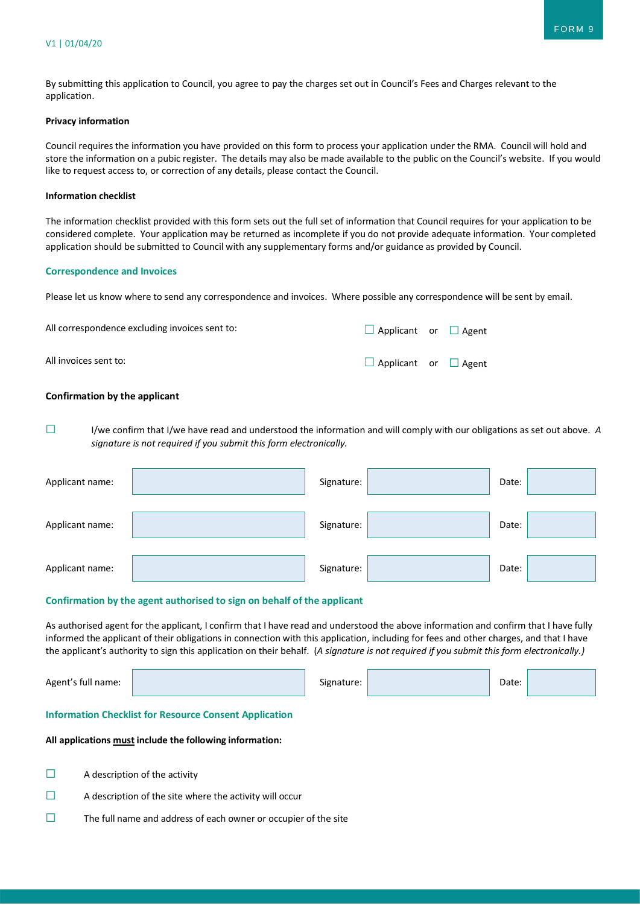By submitting this application to Council, you agree to pay the charges set out in Council's Fees and Charges relevant to the application.

#### **Privacy information**

Council requires the information you have provided on this form to process your application under the RMA. Council will hold and store the information on a pubic register. The details may also be made available to the public on the Council's website. If you would like to request access to, or correction of any details, please contact the Council.

#### **Information checklist**

The information checklist provided with this form sets out the full set of information that Council requires for your application to be considered complete. Your application may be returned as incomplete if you do not provide adequate information. Your completed application should be submitted to Council with any supplementary forms and/or guidance as provided by Council.

#### **Correspondence and Invoices**

Please let us know where to send any correspondence and invoices. Where possible any correspondence will be sent by email.

| All correspondence excluding invoices sent to: | $\Box$ Applicant or $\Box$ Agent |  |
|------------------------------------------------|----------------------------------|--|
| All invoices sent to:                          | $\Box$ Applicant or $\Box$ Agent |  |

## **Confirmation by the applicant**

☐ I/we confirm that I/we have read and understood the information and will comply with our obligations as set out above. *A signature is not required if you submit this form electronically.*

| Applicant name: | Signature: | Date: |  |
|-----------------|------------|-------|--|
| Applicant name: | Signature: | Date: |  |
| Applicant name: | Signature: | Date: |  |

#### **Confirmation by the agent authorised to sign on behalf of the applicant**

As authorised agent for the applicant, I confirm that I have read and understood the above information and confirm that I have fully informed the applicant of their obligations in connection with this application, including for fees and other charges, and that I have the applicant's authority to sign this application on their behalf. (*A signature is not required if you submit this form electronically.)*

| Agent's full name: | Signature: | Date: |  |
|--------------------|------------|-------|--|
|                    |            |       |  |

# **Information Checklist for Resource Consent Application**

#### **All applications must include the following information:**

- $\Box$  A description of the activity
- $\Box$  A description of the site where the activity will occur
- ☐ The full name and address of each owner or occupier of the site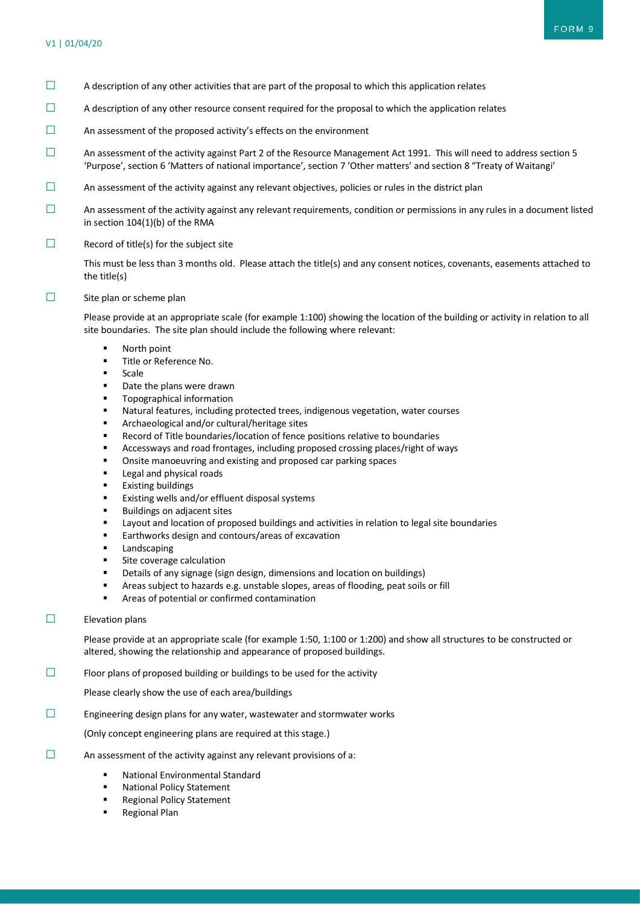- $\Box$  A description of any other activities that are part of the proposal to which this application relates
- $\Box$  A description of any other resource consent required for the proposal to which the application relates
- ☐ An assessment of the proposed activity's effects on the environment
- ☐ An assessment of the activity against Part 2 of the Resource Management Act 1991. This will need to address section 5 'Purpose', section 6 'Matters of national importance', section 7 'Other matters' and section 8 "Treaty of Waitangi'
- $\Box$  An assessment of the activity against any relevant objectives, policies or rules in the district plan
- ☐ An assessment of the activity against any relevant requirements, condition or permissions in any rules in a document listed in section 104(1)(b) of the RMA
- $\Box$  Record of title(s) for the subject site

This must be less than 3 months old. Please attach the title(s) and any consent notices, covenants, easements attached to the title(s)

 $\Box$  Site plan or scheme plan

Please provide at an appropriate scale (for example 1:100) showing the location of the building or activity in relation to all site boundaries. The site plan should include the following where relevant:

- **North point**
- **Title or Reference No.**
- **Scale**
- Date the plans were drawn
- Topographical information
- Natural features, including protected trees, indigenous vegetation, water courses
- Archaeological and/or cultural/heritage sites
- Record of Title boundaries/location of fence positions relative to boundaries
- Accessways and road frontages, including proposed crossing places/right of ways
- Onsite manoeuvring and existing and proposed car parking spaces
- Legal and physical roads
- **Existing buildings**
- Existing wells and/or effluent disposal systems
- Buildings on adjacent sites
- Layout and location of proposed buildings and activities in relation to legal site boundaries
- **Earthworks design and contours/areas of excavation**
- **Landscaping**
- Site coverage calculation
- Details of any signage (sign design, dimensions and location on buildings)
- Areas subject to hazards e.g. unstable slopes, areas of flooding, peat soils or fill
- Areas of potential or confirmed contamination
- ☐ Elevation plans

Please provide at an appropriate scale (for example 1:50, 1:100 or 1:200) and show all structures to be constructed or altered, showing the relationship and appearance of proposed buildings.

 $\Box$  Floor plans of proposed building or buildings to be used for the activity

Please clearly show the use of each area/buildings

☐ Engineering design plans for any water, wastewater and stormwater works

(Only concept engineering plans are required at this stage.)

- $\Box$  An assessment of the activity against any relevant provisions of a:
	- National Environmental Standard
	- **National Policy Statement**
	- Regional Policy Statement
	- Regional Plan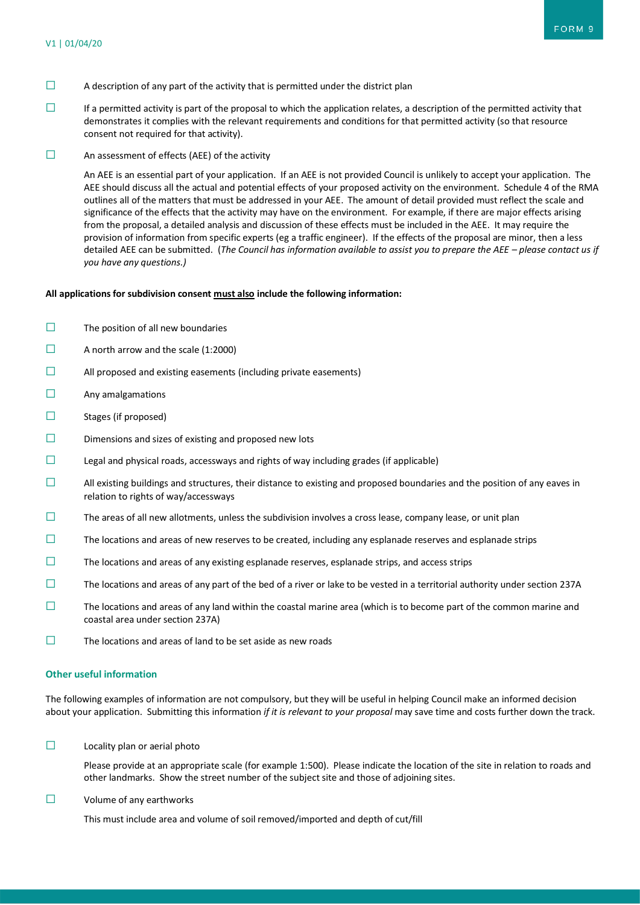- $\Box$  A description of any part of the activity that is permitted under the district plan
- $\Box$  If a permitted activity is part of the proposal to which the application relates, a description of the permitted activity that demonstrates it complies with the relevant requirements and conditions for that permitted activity (so that resource consent not required for that activity).
- ☐ An assessment of effects (AEE) of the activity

An AEE is an essential part of your application. If an AEE is not provided Council is unlikely to accept your application. The AEE should discuss all the actual and potential effects of your proposed activity on the environment. Schedule 4 of the RMA outlines all of the matters that must be addressed in your AEE. The amount of detail provided must reflect the scale and significance of the effects that the activity may have on the environment. For example, if there are major effects arising from the proposal, a detailed analysis and discussion of these effects must be included in the AEE. It may require the provision of information from specific experts (eg a traffic engineer). If the effects of the proposal are minor, then a less detailed AEE can be submitted. (*The Council has information available to assist you to prepare the AEE – please contact us if you have any questions.)*

#### **All applications for subdivision consent must also include the following information:**

- ☐ The position of all new boundaries
- $\Box$  A north arrow and the scale (1:2000)
- ☐ All proposed and existing easements (including private easements)
- ☐ Any amalgamations
- ☐ Stages (if proposed)
- ☐ Dimensions and sizes of existing and proposed new lots
- $\Box$  Legal and physical roads, accessways and rights of way including grades (if applicable)
- $\Box$  All existing buildings and structures, their distance to existing and proposed boundaries and the position of any eaves in relation to rights of way/accessways
- $\Box$  The areas of all new allotments, unless the subdivision involves a cross lease, company lease, or unit plan
- $\Box$  The locations and areas of new reserves to be created, including any esplanade reserves and esplanade strips
- ☐ The locations and areas of any existing esplanade reserves, esplanade strips, and access strips
- ☐ The locations and areas of any part of the bed of a river or lake to be vested in a territorial authority under section 237A
- $\square$  The locations and areas of any land within the coastal marine area (which is to become part of the common marine and coastal area under section 237A)
- ☐ The locations and areas of land to be set aside as new roads

#### **Other useful information**

The following examples of information are not compulsory, but they will be useful in helping Council make an informed decision about your application. Submitting this information *if it is relevant to your proposal* may save time and costs further down the track.

☐ Locality plan or aerial photo

Please provide at an appropriate scale (for example 1:500). Please indicate the location of the site in relation to roads and other landmarks. Show the street number of the subject site and those of adjoining sites.

☐ Volume of any earthworks

This must include area and volume of soil removed/imported and depth of cut/fill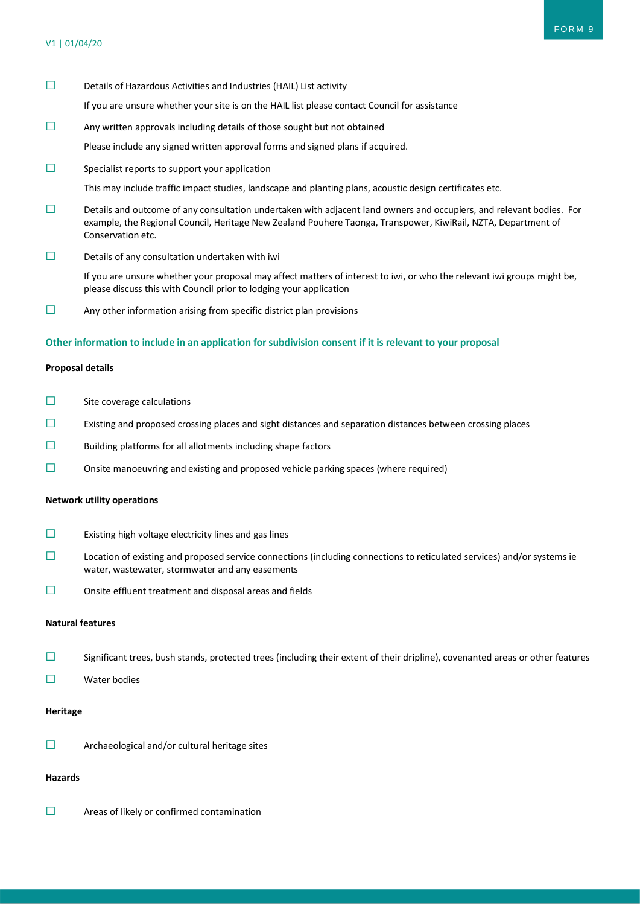☐ Details of Hazardous Activities and Industries (HAIL) List activity

If you are unsure whether your site is on the HAIL list please contact Council for assistance

 $\Box$  Any written approvals including details of those sought but not obtained

Please include any signed written approval forms and signed plans if acquired.

☐ Specialist reports to support your application

This may include traffic impact studies, landscape and planting plans, acoustic design certificates etc.

- ☐ Details and outcome of any consultation undertaken with adjacent land owners and occupiers, and relevant bodies. For example, the Regional Council, Heritage New Zealand Pouhere Taonga, Transpower, KiwiRail, NZTA, Department of Conservation etc.
- $\Box$  Details of any consultation undertaken with iwi

If you are unsure whether your proposal may affect matters of interest to iwi, or who the relevant iwi groups might be, please discuss this with Council prior to lodging your application

 $\Box$  Any other information arising from specific district plan provisions

#### **Other information to include in an application for subdivision consent if it is relevant to your proposal**

#### **Proposal details**

- ☐ Site coverage calculations
- ☐ Existing and proposed crossing places and sight distances and separation distances between crossing places
- $\Box$  Building platforms for all allotments including shape factors
- ☐ Onsite manoeuvring and existing and proposed vehicle parking spaces (where required)

#### **Network utility operations**

- ☐ Existing high voltage electricity lines and gas lines
- ☐ Location of existing and proposed service connections (including connections to reticulated services) and/or systems ie water, wastewater, stormwater and any easements
- ☐ Onsite effluent treatment and disposal areas and fields

#### **Natural features**

- $\Box$  Significant trees, bush stands, protected trees (including their extent of their dripline), covenanted areas or other features
- ☐ Water bodies

# **Heritage**

☐ Archaeological and/or cultural heritage sites

#### **Hazards**

☐ Areas of likely or confirmed contamination